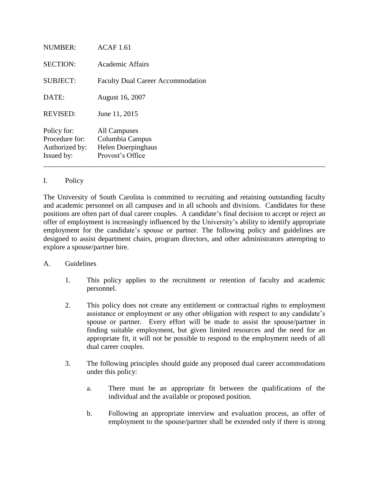| <b>NUMBER:</b>                                                | <b>ACAF</b> 1.61                                                          |
|---------------------------------------------------------------|---------------------------------------------------------------------------|
| <b>SECTION:</b>                                               | <b>Academic Affairs</b>                                                   |
| <b>SUBJECT:</b>                                               | <b>Faculty Dual Career Accommodation</b>                                  |
| DATE:                                                         | August 16, 2007                                                           |
| <b>REVISED:</b>                                               | June 11, 2015                                                             |
| Policy for:<br>Procedure for:<br>Authorized by:<br>Issued by: | All Campuses<br>Columbia Campus<br>Helen Doerpinghaus<br>Provost's Office |

## I. Policy

The University of South Carolina is committed to recruiting and retaining outstanding faculty and academic personnel on all campuses and in all schools and divisions. Candidates for these positions are often part of dual career couples. A candidate's final decision to accept or reject an offer of employment is increasingly influenced by the University's ability to identify appropriate employment for the candidate's spouse or partner. The following policy and guidelines are designed to assist department chairs, program directors, and other administrators attempting to explore a spouse/partner hire.

## A. Guidelines

- 1. This policy applies to the recruitment or retention of faculty and academic personnel.
- 2. This policy does not create any entitlement or contractual rights to employment assistance or employment or any other obligation with respect to any candidate's spouse or partner. Every effort will be made to assist the spouse/partner in finding suitable employment, but given limited resources and the need for an appropriate fit, it will not be possible to respond to the employment needs of all dual career couples.
- 3. The following principles should guide any proposed dual career accommodations under this policy:
	- a. There must be an appropriate fit between the qualifications of the individual and the available or proposed position.
	- b. Following an appropriate interview and evaluation process, an offer of employment to the spouse/partner shall be extended only if there is strong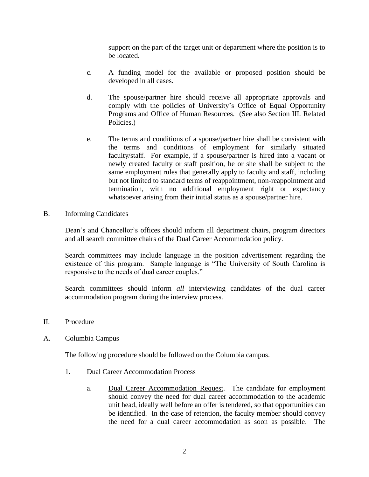support on the part of the target unit or department where the position is to be located.

- c. A funding model for the available or proposed position should be developed in all cases.
- d. The spouse/partner hire should receive all appropriate approvals and comply with the policies of University's Office of Equal Opportunity Programs and Office of Human Resources. (See also Section III. Related Policies.)
- e. The terms and conditions of a spouse/partner hire shall be consistent with the terms and conditions of employment for similarly situated faculty/staff. For example, if a spouse/partner is hired into a vacant or newly created faculty or staff position, he or she shall be subject to the same employment rules that generally apply to faculty and staff, including but not limited to standard terms of reappointment, non-reappointment and termination, with no additional employment right or expectancy whatsoever arising from their initial status as a spouse/partner hire.
- B. Informing Candidates

Dean's and Chancellor's offices should inform all department chairs, program directors and all search committee chairs of the Dual Career Accommodation policy.

Search committees may include language in the position advertisement regarding the existence of this program. Sample language is "The University of South Carolina is responsive to the needs of dual career couples."

Search committees should inform *all* interviewing candidates of the dual career accommodation program during the interview process.

- II. Procedure
- A. Columbia Campus

The following procedure should be followed on the Columbia campus.

- 1. Dual Career Accommodation Process
	- a. Dual Career Accommodation Request. The candidate for employment should convey the need for dual career accommodation to the academic unit head, ideally well before an offer is tendered, so that opportunities can be identified. In the case of retention, the faculty member should convey the need for a dual career accommodation as soon as possible. The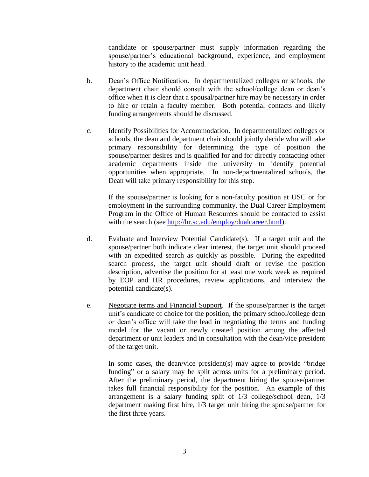candidate or spouse/partner must supply information regarding the spouse/partner's educational background, experience, and employment history to the academic unit head.

- b. Dean's Office Notification. In departmentalized colleges or schools, the department chair should consult with the school/college dean or dean's office when it is clear that a spousal/partner hire may be necessary in order to hire or retain a faculty member. Both potential contacts and likely funding arrangements should be discussed.
- c. Identify Possibilities for Accommodation. In departmentalized colleges or schools, the dean and department chair should jointly decide who will take primary responsibility for determining the type of position the spouse/partner desires and is qualified for and for directly contacting other academic departments inside the university to identify potential opportunities when appropriate. In non-departmentalized schools, the Dean will take primary responsibility for this step.

If the spouse/partner is looking for a non-faculty position at USC or for employment in the surrounding community, the Dual Career Employment Program in the Office of Human Resources should be contacted to assist with the search (see [http://hr.sc.edu/employ/dualcareer.html\)](http://hr.sc.edu/employ/dualcareer.html).

- d. Evaluate and Interview Potential Candidate(s). If a target unit and the spouse/partner both indicate clear interest, the target unit should proceed with an expedited search as quickly as possible. During the expedited search process, the target unit should draft or revise the position description, advertise the position for at least one work week as required by EOP and HR procedures, review applications, and interview the potential candidate(s).
- e. Negotiate terms and Financial Support. If the spouse/partner is the target unit's candidate of choice for the position, the primary school/college dean or dean's office will take the lead in negotiating the terms and funding model for the vacant or newly created position among the affected department or unit leaders and in consultation with the dean/vice president of the target unit.

In some cases, the dean/vice president(s) may agree to provide "bridge funding" or a salary may be split across units for a preliminary period. After the preliminary period, the department hiring the spouse/partner takes full financial responsibility for the position. An example of this arrangement is a salary funding split of 1/3 college/school dean, 1/3 department making first hire, 1/3 target unit hiring the spouse/partner for the first three years.